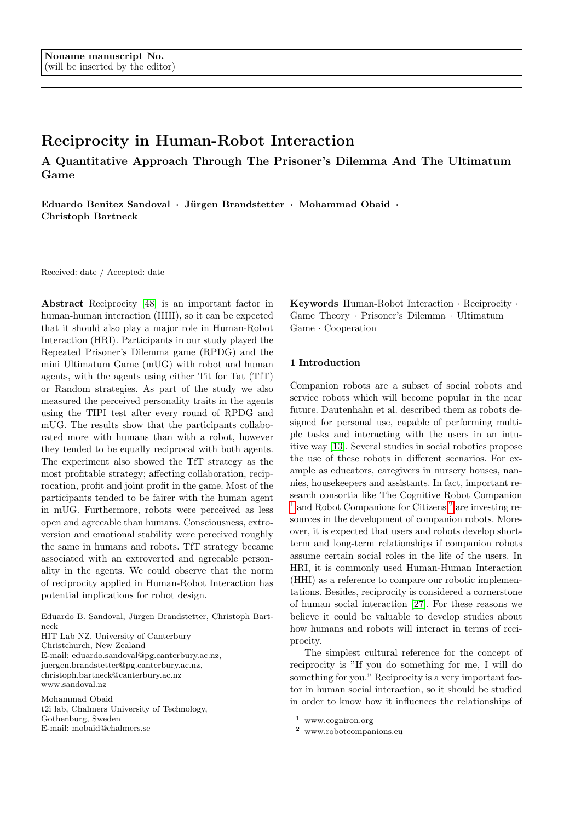# Reciprocity in Human-Robot Interaction

A Quantitative Approach Through The Prisoner's Dilemma And The Ultimatum Game

Eduardo Benitez Sandoval · Jürgen Brandstetter · Mohammad Obaid · Christoph Bartneck

Received: date / Accepted: date

Abstract Reciprocity [\[48\]](#page-14-0) is an important factor in human-human interaction (HHI), so it can be expected that it should also play a major role in Human-Robot Interaction (HRI). Participants in our study played the Repeated Prisoner's Dilemma game (RPDG) and the mini Ultimatum Game (mUG) with robot and human agents, with the agents using either Tit for Tat (TfT) or Random strategies. As part of the study we also measured the perceived personality traits in the agents using the TIPI test after every round of RPDG and mUG. The results show that the participants collaborated more with humans than with a robot, however they tended to be equally reciprocal with both agents. The experiment also showed the TfT strategy as the most profitable strategy; affecting collaboration, reciprocation, profit and joint profit in the game. Most of the participants tended to be fairer with the human agent in mUG. Furthermore, robots were perceived as less open and agreeable than humans. Consciousness, extroversion and emotional stability were perceived roughly the same in humans and robots. TfT strategy became associated with an extroverted and agreeable personality in the agents. We could observe that the norm of reciprocity applied in Human-Robot Interaction has potential implications for robot design.

Eduardo B. Sandoval, Jürgen Brandstetter, Christoph Bartneck HIT Lab NZ, University of Canterbury Christchurch, New Zealand

E-mail: eduardo.sandoval@pg.canterbury.ac.nz, juergen.brandstetter@pg.canterbury.ac.nz, christoph.bartneck@canterbury.ac.nz www.sandoval.nz

Mohammad Obaid t2i lab, Chalmers University of Technology, Gothenburg, Sweden E-mail: mobaid@chalmers.se

Keywords Human-Robot Interaction · Reciprocity · Game Theory · Prisoner's Dilemma · Ultimatum Game · Cooperation

## 1 Introduction

Companion robots are a subset of social robots and service robots which will become popular in the near future. Dautenhahn et al. described them as robots designed for personal use, capable of performing multiple tasks and interacting with the users in an intuitive way [\[13\]](#page-13-0). Several studies in social robotics propose the use of these robots in different scenarios. For example as educators, caregivers in nursery houses, nannies, housekeepers and assistants. In fact, important research consortia like The Cognitive Robot Companion  $1$  and Robot Companions for Citizens  $2$  are investing resources in the development of companion robots. Moreover, it is expected that users and robots develop shortterm and long-term relationships if companion robots assume certain social roles in the life of the users. In HRI, it is commonly used Human-Human Interaction (HHI) as a reference to compare our robotic implementations. Besides, reciprocity is considered a cornerstone of human social interaction [\[27\]](#page-14-1). For these reasons we believe it could be valuable to develop studies about how humans and robots will interact in terms of reciprocity.

The simplest cultural reference for the concept of reciprocity is "If you do something for me, I will do something for you." Reciprocity is a very important factor in human social interaction, so it should be studied in order to know how it influences the relationships of

<span id="page-0-0"></span><sup>1</sup> www.cogniron.org

<span id="page-0-1"></span><sup>2</sup> www.robotcompanions.eu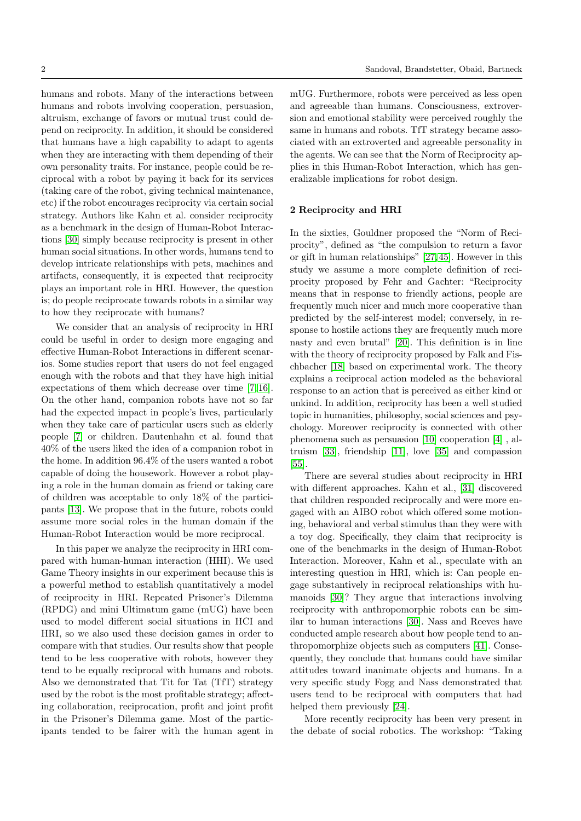humans and robots. Many of the interactions between humans and robots involving cooperation, persuasion, altruism, exchange of favors or mutual trust could depend on reciprocity. In addition, it should be considered that humans have a high capability to adapt to agents when they are interacting with them depending of their own personality traits. For instance, people could be reciprocal with a robot by paying it back for its services (taking care of the robot, giving technical maintenance, etc) if the robot encourages reciprocity via certain social strategy. Authors like Kahn et al. consider reciprocity as a benchmark in the design of Human-Robot Interactions [\[30\]](#page-14-2) simply because reciprocity is present in other human social situations. In other words, humans tend to develop intricate relationships with pets, machines and artifacts, consequently, it is expected that reciprocity plays an important role in HRI. However, the question is; do people reciprocate towards robots in a similar way to how they reciprocate with humans?

We consider that an analysis of reciprocity in HRI could be useful in order to design more engaging and effective Human-Robot Interactions in different scenarios. Some studies report that users do not feel engaged enough with the robots and that they have high initial expectations of them which decrease over time [\[7,](#page-13-1) [16\]](#page-13-2). On the other hand, companion robots have not so far had the expected impact in people's lives, particularly when they take care of particular users such as elderly people [\[7\]](#page-13-1) or children. Dautenhahn et al. found that 40% of the users liked the idea of a companion robot in the home. In addition 96.4% of the users wanted a robot capable of doing the housework. However a robot playing a role in the human domain as friend or taking care of children was acceptable to only 18% of the participants [\[13\]](#page-13-0). We propose that in the future, robots could assume more social roles in the human domain if the Human-Robot Interaction would be more reciprocal.

In this paper we analyze the reciprocity in HRI compared with human-human interaction (HHI). We used Game Theory insights in our experiment because this is a powerful method to establish quantitatively a model of reciprocity in HRI. Repeated Prisoner's Dilemma (RPDG) and mini Ultimatum game (mUG) have been used to model different social situations in HCI and HRI, so we also used these decision games in order to compare with that studies. Our results show that people tend to be less cooperative with robots, however they tend to be equally reciprocal with humans and robots. Also we demonstrated that Tit for Tat (TfT) strategy used by the robot is the most profitable strategy; affecting collaboration, reciprocation, profit and joint profit in the Prisoner's Dilemma game. Most of the participants tended to be fairer with the human agent in mUG. Furthermore, robots were perceived as less open and agreeable than humans. Consciousness, extroversion and emotional stability were perceived roughly the same in humans and robots. TfT strategy became associated with an extroverted and agreeable personality in the agents. We can see that the Norm of Reciprocity applies in this Human-Robot Interaction, which has generalizable implications for robot design.

# 2 Reciprocity and HRI

In the sixties, Gouldner proposed the "Norm of Reciprocity", defined as "the compulsion to return a favor or gift in human relationships" [\[27,](#page-14-1) [45\]](#page-14-3). However in this study we assume a more complete definition of reciprocity proposed by Fehr and Gachter: "Reciprocity means that in response to friendly actions, people are frequently much nicer and much more cooperative than predicted by the self-interest model; conversely, in response to hostile actions they are frequently much more nasty and even brutal" [\[20\]](#page-13-3). This definition is in line with the theory of reciprocity proposed by Falk and Fischbacher [\[18\]](#page-13-4) based on experimental work. The theory explains a reciprocal action modeled as the behavioral response to an action that is perceived as either kind or unkind. In addition, reciprocity has been a well studied topic in humanities, philosophy, social sciences and psychology. Moreover reciprocity is connected with other phenomena such as persuasion [\[10\]](#page-13-5) cooperation [\[4\]](#page-13-6) , altruism [\[33\]](#page-14-4), friendship [\[11\]](#page-13-7), love [\[35\]](#page-14-5) and compassion [\[55\]](#page-15-0).

There are several studies about reciprocity in HRI with different approaches. Kahn et al., [\[31\]](#page-14-6) discovered that children responded reciprocally and were more engaged with an AIBO robot which offered some motioning, behavioral and verbal stimulus than they were with a toy dog. Specifically, they claim that reciprocity is one of the benchmarks in the design of Human-Robot Interaction. Moreover, Kahn et al., speculate with an interesting question in HRI, which is: Can people engage substantively in reciprocal relationships with humanoids [\[30\]](#page-14-2)? They argue that interactions involving reciprocity with anthropomorphic robots can be similar to human interactions [\[30\]](#page-14-2). Nass and Reeves have conducted ample research about how people tend to anthropomorphize objects such as computers [\[41\]](#page-14-7). Consequently, they conclude that humans could have similar attitudes toward inanimate objects and humans. In a very specific study Fogg and Nass demonstrated that users tend to be reciprocal with computers that had helped them previously [\[24\]](#page-13-8).

More recently reciprocity has been very present in the debate of social robotics. The workshop: "Taking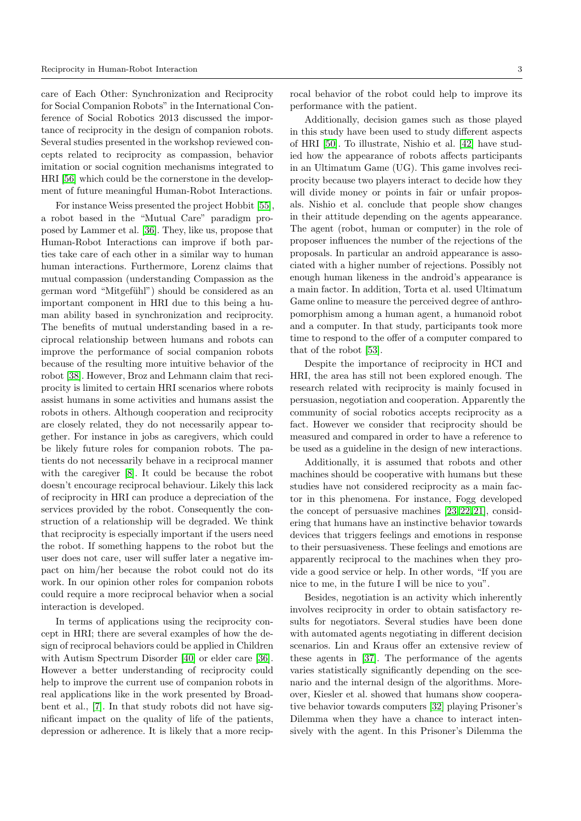care of Each Other: Synchronization and Reciprocity for Social Companion Robots" in the International Conference of Social Robotics 2013 discussed the importance of reciprocity in the design of companion robots. Several studies presented in the workshop reviewed concepts related to reciprocity as compassion, behavior imitation or social cognition mechanisms integrated to HRI [\[56\]](#page-15-1) which could be the cornerstone in the development of future meaningful Human-Robot Interactions.

For instance Weiss presented the project Hobbit [\[55\]](#page-15-0), a robot based in the "Mutual Care" paradigm proposed by Lammer et al. [\[36\]](#page-14-8). They, like us, propose that Human-Robot Interactions can improve if both parties take care of each other in a similar way to human human interactions. Furthermore, Lorenz claims that mutual compassion (understanding Compassion as the german word "Mitgefühl") should be considered as an important component in HRI due to this being a human ability based in synchronization and reciprocity. The benefits of mutual understanding based in a reciprocal relationship between humans and robots can improve the performance of social companion robots because of the resulting more intuitive behavior of the robot [\[38\]](#page-14-9). However, Broz and Lehmann claim that reciprocity is limited to certain HRI scenarios where robots assist humans in some activities and humans assist the robots in others. Although cooperation and reciprocity are closely related, they do not necessarily appear together. For instance in jobs as caregivers, which could be likely future roles for companion robots. The patients do not necessarily behave in a reciprocal manner with the caregiver [\[8\]](#page-13-9). It could be because the robot doesn't encourage reciprocal behaviour. Likely this lack of reciprocity in HRI can produce a depreciation of the services provided by the robot. Consequently the construction of a relationship will be degraded. We think that reciprocity is especially important if the users need the robot. If something happens to the robot but the user does not care, user will suffer later a negative impact on him/her because the robot could not do its work. In our opinion other roles for companion robots could require a more reciprocal behavior when a social interaction is developed.

In terms of applications using the reciprocity concept in HRI; there are several examples of how the design of reciprocal behaviors could be applied in Children with Autism Spectrum Disorder [\[40\]](#page-14-10) or elder care [\[36\]](#page-14-8). However a better understanding of reciprocity could help to improve the current use of companion robots in real applications like in the work presented by Broadbent et al., [\[7\]](#page-13-1). In that study robots did not have significant impact on the quality of life of the patients, depression or adherence. It is likely that a more reciprocal behavior of the robot could help to improve its performance with the patient.

Additionally, decision games such as those played in this study have been used to study different aspects of HRI [\[50\]](#page-14-11). To illustrate, Nishio et al. [\[42\]](#page-14-12) have studied how the appearance of robots affects participants in an Ultimatum Game (UG). This game involves reciprocity because two players interact to decide how they will divide money or points in fair or unfair proposals. Nishio et al. conclude that people show changes in their attitude depending on the agents appearance. The agent (robot, human or computer) in the role of proposer influences the number of the rejections of the proposals. In particular an android appearance is associated with a higher number of rejections. Possibly not enough human likeness in the android's appearance is a main factor. In addition, Torta et al. used Ultimatum Game online to measure the perceived degree of anthropomorphism among a human agent, a humanoid robot and a computer. In that study, participants took more time to respond to the offer of a computer compared to that of the robot [\[53\]](#page-14-13).

Despite the importance of reciprocity in HCI and HRI, the area has still not been explored enough. The research related with reciprocity is mainly focused in persuasion, negotiation and cooperation. Apparently the community of social robotics accepts reciprocity as a fact. However we consider that reciprocity should be measured and compared in order to have a reference to be used as a guideline in the design of new interactions.

Additionally, it is assumed that robots and other machines should be cooperative with humans but these studies have not considered reciprocity as a main factor in this phenomena. For instance, Fogg developed the concept of persuasive machines [\[23,](#page-13-10) [22,](#page-13-11) [21\]](#page-13-12), considering that humans have an instinctive behavior towards devices that triggers feelings and emotions in response to their persuasiveness. These feelings and emotions are apparently reciprocal to the machines when they provide a good service or help. In other words, "If you are nice to me, in the future I will be nice to you".

Besides, negotiation is an activity which inherently involves reciprocity in order to obtain satisfactory results for negotiators. Several studies have been done with automated agents negotiating in different decision scenarios. Lin and Kraus offer an extensive review of these agents in [\[37\]](#page-14-14). The performance of the agents varies statistically significantly depending on the scenario and the internal design of the algorithms. Moreover, Kiesler et al. showed that humans show cooperative behavior towards computers [\[32\]](#page-14-15) playing Prisoner's Dilemma when they have a chance to interact intensively with the agent. In this Prisoner's Dilemma the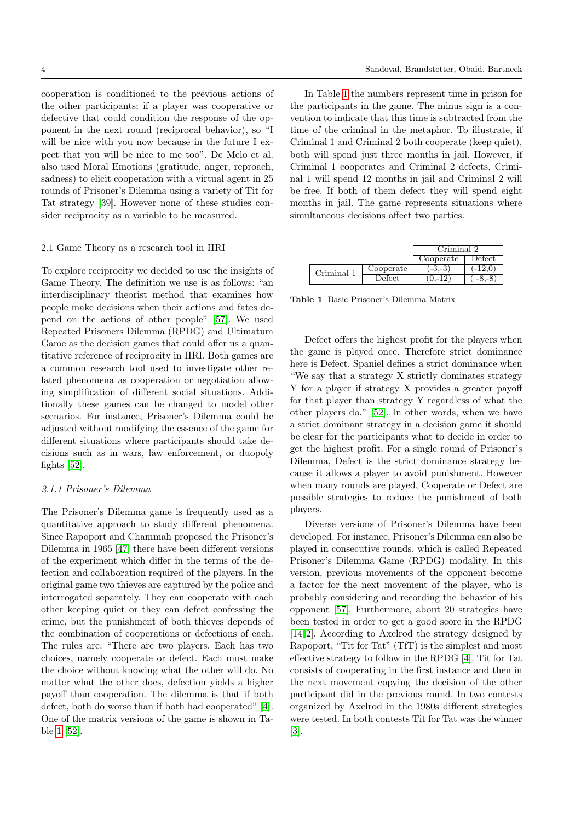cooperation is conditioned to the previous actions of the other participants; if a player was cooperative or defective that could condition the response of the opponent in the next round (reciprocal behavior), so "I will be nice with you now because in the future I expect that you will be nice to me too". De Melo et al. also used Moral Emotions (gratitude, anger, reproach, sadness) to elicit cooperation with a virtual agent in 25 rounds of Prisoner's Dilemma using a variety of Tit for Tat strategy [\[39\]](#page-14-16). However none of these studies consider reciprocity as a variable to be measured.

#### 2.1 Game Theory as a research tool in HRI

To explore reciprocity we decided to use the insights of Game Theory. The definition we use is as follows: "an interdisciplinary theorist method that examines how people make decisions when their actions and fates depend on the actions of other people" [\[57\]](#page-15-2). We used Repeated Prisoners Dilemma (RPDG) and Ultimatum Game as the decision games that could offer us a quantitative reference of reciprocity in HRI. Both games are a common research tool used to investigate other related phenomena as cooperation or negotiation allowing simplification of different social situations. Additionally these games can be changed to model other scenarios. For instance, Prisoner's Dilemma could be adjusted without modifying the essence of the game for different situations where participants should take decisions such as in wars, law enforcement, or duopoly fights [\[52\]](#page-14-17).

## <span id="page-3-1"></span>2.1.1 Prisoner's Dilemma

The Prisoner's Dilemma game is frequently used as a quantitative approach to study different phenomena. Since Rapoport and Chammah proposed the Prisoner's Dilemma in 1965 [\[47\]](#page-14-18) there have been different versions of the experiment which differ in the terms of the defection and collaboration required of the players. In the original game two thieves are captured by the police and interrogated separately. They can cooperate with each other keeping quiet or they can defect confessing the crime, but the punishment of both thieves depends of the combination of cooperations or defections of each. The rules are: "There are two players. Each has two choices, namely cooperate or defect. Each must make the choice without knowing what the other will do. No matter what the other does, defection yields a higher payoff than cooperation. The dilemma is that if both defect, both do worse than if both had cooperated" [\[4\]](#page-13-6). One of the matrix versions of the game is shown in Table [1](#page-3-0) [\[52\]](#page-14-17).

In Table [1](#page-3-0) the numbers represent time in prison for the participants in the game. The minus sign is a convention to indicate that this time is subtracted from the time of the criminal in the metaphor. To illustrate, if Criminal 1 and Criminal 2 both cooperate (keep quiet), both will spend just three months in jail. However, if Criminal 1 cooperates and Criminal 2 defects, Criminal 1 will spend 12 months in jail and Criminal 2 will be free. If both of them defect they will spend eight months in jail. The game represents situations where simultaneous decisions affect two parties.

|            |           | Criminal 2 |        |  |
|------------|-----------|------------|--------|--|
|            |           | Cooperate  | Defect |  |
| Criminal 1 | Cooperate | -3.-3      | 12.0   |  |
|            | Defect    |            |        |  |

<span id="page-3-0"></span>Table 1 Basic Prisoner's Dilemma Matrix

Defect offers the highest profit for the players when the game is played once. Therefore strict dominance here is Defect. Spaniel defines a strict dominance when "We say that a strategy X strictly dominates strategy Y for a player if strategy X provides a greater payoff for that player than strategy Y regardless of what the other players do." [\[52\]](#page-14-17). In other words, when we have a strict dominant strategy in a decision game it should be clear for the participants what to decide in order to get the highest profit. For a single round of Prisoner's Dilemma, Defect is the strict dominance strategy because it allows a player to avoid punishment. However when many rounds are played, Cooperate or Defect are possible strategies to reduce the punishment of both players.

Diverse versions of Prisoner's Dilemma have been developed. For instance, Prisoner's Dilemma can also be played in consecutive rounds, which is called Repeated Prisoner's Dilemma Game (RPDG) modality. In this version, previous movements of the opponent become a factor for the next movement of the player, who is probably considering and recording the behavior of his opponent [\[57\]](#page-15-2). Furthermore, about 20 strategies have been tested in order to get a good score in the RPDG [\[14,](#page-13-13) [2\]](#page-13-14). According to Axelrod the strategy designed by Rapoport, "Tit for Tat" (TfT) is the simplest and most effective strategy to follow in the RPDG [\[4\]](#page-13-6). Tit for Tat consists of cooperating in the first instance and then in the next movement copying the decision of the other participant did in the previous round. In two contests organized by Axelrod in the 1980s different strategies were tested. In both contests Tit for Tat was the winner [\[3\]](#page-13-15).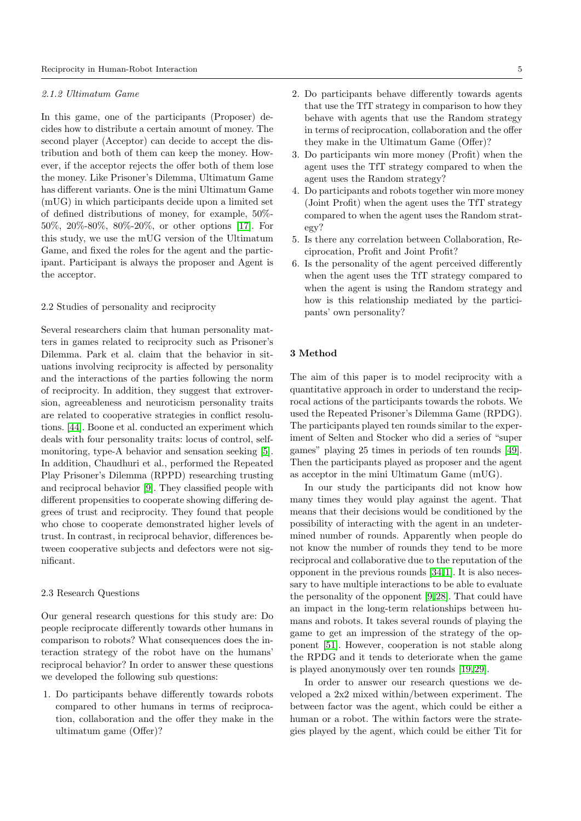## 2.1.2 Ultimatum Game

In this game, one of the participants (Proposer) decides how to distribute a certain amount of money. The second player (Acceptor) can decide to accept the distribution and both of them can keep the money. However, if the acceptor rejects the offer both of them lose the money. Like Prisoner's Dilemma, Ultimatum Game has different variants. One is the mini Ultimatum Game (mUG) in which participants decide upon a limited set of defined distributions of money, for example, 50%- 50%, 20%-80%, 80%-20%, or other options [\[17\]](#page-13-16). For this study, we use the mUG version of the Ultimatum Game, and fixed the roles for the agent and the participant. Participant is always the proposer and Agent is the acceptor.

## 2.2 Studies of personality and reciprocity

Several researchers claim that human personality matters in games related to reciprocity such as Prisoner's Dilemma. Park et al. claim that the behavior in situations involving reciprocity is affected by personality and the interactions of the parties following the norm of reciprocity. In addition, they suggest that extroversion, agreeableness and neuroticism personality traits are related to cooperative strategies in conflict resolutions. [\[44\]](#page-14-19). Boone et al. conducted an experiment which deals with four personality traits: locus of control, selfmonitoring, type-A behavior and sensation seeking [\[5\]](#page-13-17). In addition, Chaudhuri et al., performed the Repeated Play Prisoner's Dilemma (RPPD) researching trusting and reciprocal behavior [\[9\]](#page-13-18). They classified people with different propensities to cooperate showing differing degrees of trust and reciprocity. They found that people who chose to cooperate demonstrated higher levels of trust. In contrast, in reciprocal behavior, differences between cooperative subjects and defectors were not significant.

## 2.3 Research Questions

Our general research questions for this study are: Do people reciprocate differently towards other humans in comparison to robots? What consequences does the interaction strategy of the robot have on the humans' reciprocal behavior? In order to answer these questions we developed the following sub questions:

1. Do participants behave differently towards robots compared to other humans in terms of reciprocation, collaboration and the offer they make in the ultimatum game (Offer)?

- 2. Do participants behave differently towards agents that use the TfT strategy in comparison to how they behave with agents that use the Random strategy in terms of reciprocation, collaboration and the offer they make in the Ultimatum Game (Offer)?
- 3. Do participants win more money (Profit) when the agent uses the TfT strategy compared to when the agent uses the Random strategy?
- 4. Do participants and robots together win more money (Joint Profit) when the agent uses the TfT strategy compared to when the agent uses the Random strategy?
- 5. Is there any correlation between Collaboration, Reciprocation, Profit and Joint Profit?
- 6. Is the personality of the agent perceived differently when the agent uses the TfT strategy compared to when the agent is using the Random strategy and how is this relationship mediated by the participants' own personality?

## 3 Method

The aim of this paper is to model reciprocity with a quantitative approach in order to understand the reciprocal actions of the participants towards the robots. We used the Repeated Prisoner's Dilemma Game (RPDG). The participants played ten rounds similar to the experiment of Selten and Stocker who did a series of "super games" playing 25 times in periods of ten rounds [\[49\]](#page-14-20). Then the participants played as proposer and the agent as acceptor in the mini Ultimatum Game (mUG).

In our study the participants did not know how many times they would play against the agent. That means that their decisions would be conditioned by the possibility of interacting with the agent in an undetermined number of rounds. Apparently when people do not know the number of rounds they tend to be more reciprocal and collaborative due to the reputation of the opponent in the previous rounds [\[34,](#page-14-21) [1\]](#page-13-19). It is also necessary to have multiple interactions to be able to evaluate the personality of the opponent [\[9,](#page-13-18) [28\]](#page-14-22). That could have an impact in the long-term relationships between humans and robots. It takes several rounds of playing the game to get an impression of the strategy of the opponent [\[51\]](#page-14-23). However, cooperation is not stable along the RPDG and it tends to deteriorate when the game is played anonymously over ten rounds [\[19,](#page-13-20) [29\]](#page-14-24).

In order to answer our research questions we developed a 2x2 mixed within/between experiment. The between factor was the agent, which could be either a human or a robot. The within factors were the strategies played by the agent, which could be either Tit for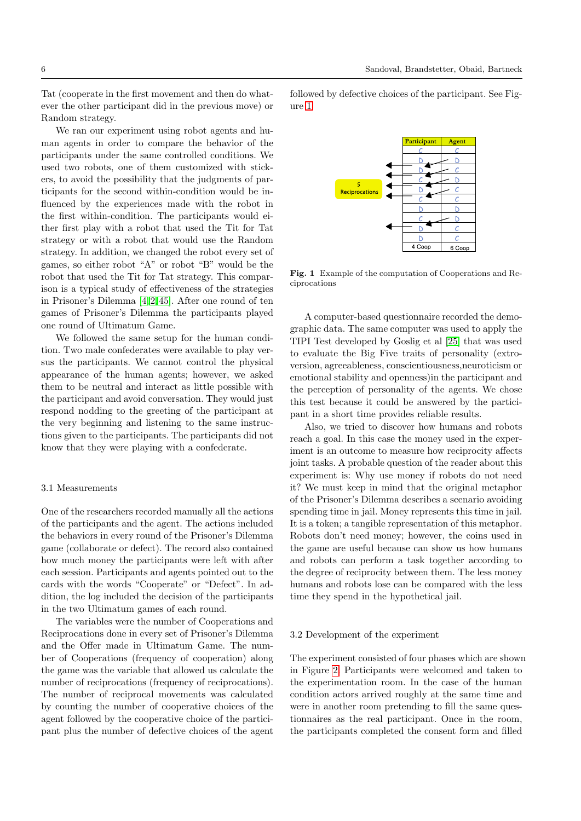Tat (cooperate in the first movement and then do whatever the other participant did in the previous move) or Random strategy.

We ran our experiment using robot agents and human agents in order to compare the behavior of the participants under the same controlled conditions. We used two robots, one of them customized with stickers, to avoid the possibility that the judgments of participants for the second within-condition would be influenced by the experiences made with the robot in the first within-condition. The participants would either first play with a robot that used the Tit for Tat strategy or with a robot that would use the Random strategy. In addition, we changed the robot every set of games, so either robot "A" or robot "B" would be the robot that used the Tit for Tat strategy. This comparison is a typical study of effectiveness of the strategies in Prisoner's Dilemma [\[4,](#page-13-6) [2,](#page-13-14) [45\]](#page-14-3). After one round of ten games of Prisoner's Dilemma the participants played one round of Ultimatum Game.

We followed the same setup for the human condition. Two male confederates were available to play versus the participants. We cannot control the physical appearance of the human agents; however, we asked them to be neutral and interact as little possible with the participant and avoid conversation. They would just respond nodding to the greeting of the participant at the very beginning and listening to the same instructions given to the participants. The participants did not know that they were playing with a confederate.

## 3.1 Measurements

One of the researchers recorded manually all the actions of the participants and the agent. The actions included the behaviors in every round of the Prisoner's Dilemma game (collaborate or defect). The record also contained how much money the participants were left with after each session. Participants and agents pointed out to the cards with the words "Cooperate" or "Defect". In addition, the log included the decision of the participants in the two Ultimatum games of each round.

The variables were the number of Cooperations and Reciprocations done in every set of Prisoner's Dilemma and the Offer made in Ultimatum Game. The number of Cooperations (frequency of cooperation) along the game was the variable that allowed us calculate the number of reciprocations (frequency of reciprocations). The number of reciprocal movements was calculated by counting the number of cooperative choices of the agent followed by the cooperative choice of the participant plus the number of defective choices of the agent

followed by defective choices of the participant. See Figure [1](#page-5-0)



<span id="page-5-0"></span>Fig. 1 Example of the computation of Cooperations and Reciprocations

A computer-based questionnaire recorded the demographic data. The same computer was used to apply the TIPI Test developed by Goslig et al [\[25\]](#page-13-21) that was used to evaluate the Big Five traits of personality (extroversion, agreeableness, conscientiousness,neuroticism or emotional stability and openness)in the participant and the perception of personality of the agents. We chose this test because it could be answered by the participant in a short time provides reliable results.

Also, we tried to discover how humans and robots reach a goal. In this case the money used in the experiment is an outcome to measure how reciprocity affects joint tasks. A probable question of the reader about this experiment is: Why use money if robots do not need it? We must keep in mind that the original metaphor of the Prisoner's Dilemma describes a scenario avoiding spending time in jail. Money represents this time in jail. It is a token; a tangible representation of this metaphor. Robots don't need money; however, the coins used in the game are useful because can show us how humans and robots can perform a task together according to the degree of reciprocity between them. The less money humans and robots lose can be compared with the less time they spend in the hypothetical jail.

#### 3.2 Development of the experiment

The experiment consisted of four phases which are shown in Figure [2.](#page-6-0) Participants were welcomed and taken to the experimentation room. In the case of the human condition actors arrived roughly at the same time and were in another room pretending to fill the same questionnaires as the real participant. Once in the room, the participants completed the consent form and filled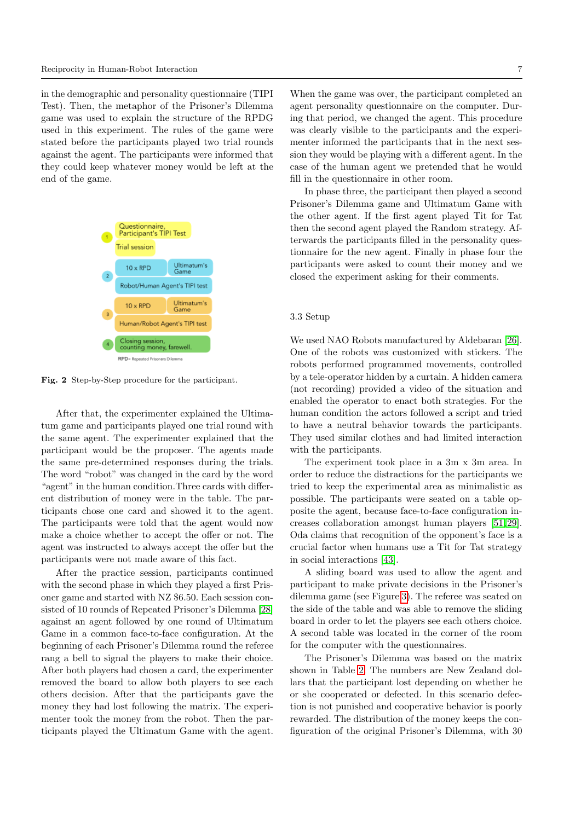in the demographic and personality questionnaire (TIPI Test). Then, the metaphor of the Prisoner's Dilemma game was used to explain the structure of the RPDG used in this experiment. The rules of the game were stated before the participants played two trial rounds against the agent. The participants were informed that they could keep whatever money would be left at the end of the game.



<span id="page-6-0"></span>Fig. 2 Step-by-Step procedure for the participant.

After that, the experimenter explained the Ultimatum game and participants played one trial round with the same agent. The experimenter explained that the participant would be the proposer. The agents made the same pre-determined responses during the trials. The word "robot" was changed in the card by the word "agent" in the human condition.Three cards with different distribution of money were in the table. The participants chose one card and showed it to the agent. The participants were told that the agent would now make a choice whether to accept the offer or not. The agent was instructed to always accept the offer but the participants were not made aware of this fact.

After the practice session, participants continued with the second phase in which they played a first Prisoner game and started with NZ \$6.50. Each session consisted of 10 rounds of Repeated Prisoner's Dilemma [\[28\]](#page-14-22) against an agent followed by one round of Ultimatum Game in a common face-to-face configuration. At the beginning of each Prisoner's Dilemma round the referee rang a bell to signal the players to make their choice. After both players had chosen a card, the experimenter removed the board to allow both players to see each others decision. After that the participants gave the money they had lost following the matrix. The experimenter took the money from the robot. Then the participants played the Ultimatum Game with the agent.

When the game was over, the participant completed an agent personality questionnaire on the computer. During that period, we changed the agent. This procedure was clearly visible to the participants and the experimenter informed the participants that in the next session they would be playing with a different agent. In the case of the human agent we pretended that he would fill in the questionnaire in other room.

In phase three, the participant then played a second Prisoner's Dilemma game and Ultimatum Game with the other agent. If the first agent played Tit for Tat then the second agent played the Random strategy. Afterwards the participants filled in the personality questionnaire for the new agent. Finally in phase four the participants were asked to count their money and we closed the experiment asking for their comments.

# 3.3 Setup

We used NAO Robots manufactured by Aldebaran [\[26\]](#page-14-25). One of the robots was customized with stickers. The robots performed programmed movements, controlled by a tele-operator hidden by a curtain. A hidden camera (not recording) provided a video of the situation and enabled the operator to enact both strategies. For the human condition the actors followed a script and tried to have a neutral behavior towards the participants. They used similar clothes and had limited interaction with the participants.

The experiment took place in a 3m x 3m area. In order to reduce the distractions for the participants we tried to keep the experimental area as minimalistic as possible. The participants were seated on a table opposite the agent, because face-to-face configuration increases collaboration amongst human players [\[51,](#page-14-23) [29\]](#page-14-24). Oda claims that recognition of the opponent's face is a crucial factor when humans use a Tit for Tat strategy in social interactions [\[43\]](#page-14-26).

A sliding board was used to allow the agent and participant to make private decisions in the Prisoner's dilemma game (see Figure [3\)](#page-7-0). The referee was seated on the side of the table and was able to remove the sliding board in order to let the players see each others choice. A second table was located in the corner of the room for the computer with the questionnaires.

The Prisoner's Dilemma was based on the matrix shown in Table [2.](#page-7-1) The numbers are New Zealand dollars that the participant lost depending on whether he or she cooperated or defected. In this scenario defection is not punished and cooperative behavior is poorly rewarded. The distribution of the money keeps the configuration of the original Prisoner's Dilemma, with 30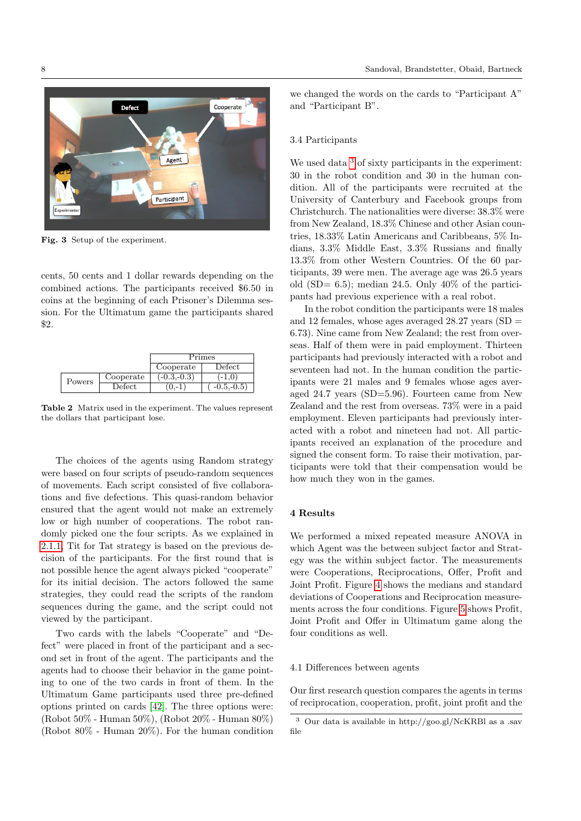**Defect** Cooperate Agent Participant

<span id="page-7-0"></span>Fig. 3 Setup of the experiment.

cents, 50 cents and 1 dollar rewards depending on the combined actions. The participants received \$6.50 in coins at the beginning of each Prisoner's Dilemma session. For the Ultimatum game the participants shared \$2.

|        |           | Primes        |              |
|--------|-----------|---------------|--------------|
|        |           | Cooperate     | Defect       |
| Powers | Cooperate | $(-0.3,-0.3)$ |              |
|        | Defect    |               | $-0.5,-0.5)$ |

<span id="page-7-1"></span>Table 2 Matrix used in the experiment. The values represent the dollars that participant lose.

The choices of the agents using Random strategy were based on four scripts of pseudo-random sequences of movements. Each script consisted of five collaborations and five defections. This quasi-random behavior ensured that the agent would not make an extremely low or high number of cooperations. The robot randomly picked one the four scripts. As we explained in [2.1.1,](#page-3-1) Tit for Tat strategy is based on the previous decision of the participants. For the first round that is not possible hence the agent always picked "cooperate" for its initial decision. The actors followed the same strategies, they could read the scripts of the random sequences during the game, and the script could not viewed by the participant.

Two cards with the labels "Cooperate" and "Defect" were placed in front of the participant and a second set in front of the agent. The participants and the agents had to choose their behavior in the game pointing to one of the two cards in front of them. In the Ultimatum Game participants used three pre-defined options printed on cards [\[42\]](#page-14-12). The three options were: (Robot 50% - Human 50%), (Robot 20% - Human 80%) (Robot 80% - Human 20%). For the human condition

we changed the words on the cards to "Participant A" and "Participant B".

## 3.4 Participants

We used data  $3$  of sixty participants in the experiment: 30 in the robot condition and 30 in the human condition. All of the participants were recruited at the University of Canterbury and Facebook groups from Christchurch. The nationalities were diverse: 38.3% were from New Zealand, 18.3% Chinese and other Asian countries, 18.33% Latin Americans and Caribbeans, 5% Indians, 3.3% Middle East, 3.3% Russians and finally 13.3% from other Western Countries. Of the 60 participants, 39 were men. The average age was 26.5 years old (SD=  $6.5$ ); median 24.5. Only 40\% of the participants had previous experience with a real robot.

In the robot condition the participants were 18 males and 12 females, whose ages averaged  $28.27$  years (SD  $=$ 6.73). Nine came from New Zealand; the rest from overseas. Half of them were in paid employment. Thirteen participants had previously interacted with a robot and seventeen had not. In the human condition the participants were 21 males and 9 females whose ages averaged 24.7 years (SD=5.96). Fourteen came from New Zealand and the rest from overseas. 73% were in a paid employment. Eleven participants had previously interacted with a robot and nineteen had not. All participants received an explanation of the procedure and signed the consent form. To raise their motivation, participants were told that their compensation would be how much they won in the games.

## 4 Results

We performed a mixed repeated measure ANOVA in which Agent was the between subject factor and Strategy was the within subject factor. The measurements were Cooperations, Reciprocations, Offer, Profit and Joint Profit. Figure [4](#page-8-0) shows the medians and standard deviations of Cooperations and Reciprocation measurements across the four conditions. Figure [5](#page-8-1) shows Profit, Joint Profit and Offer in Ultimatum game along the four conditions as well.

## 4.1 Differences between agents

Our first research question compares the agents in terms of reciprocation, cooperation, profit, joint profit and the

<span id="page-7-2"></span><sup>3</sup> Our data is available in http://goo.gl/NcKRBl as a .sav file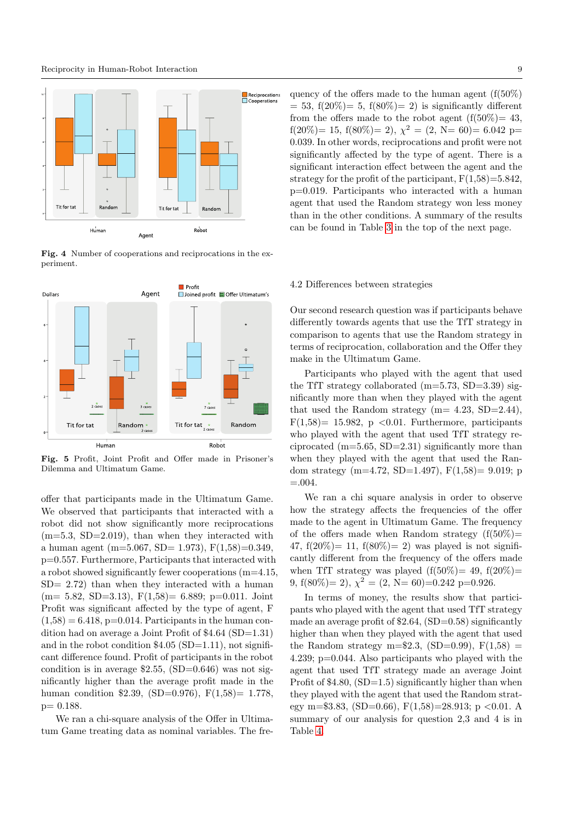

<span id="page-8-0"></span>Fig. 4 Number of cooperations and reciprocations in the experiment.



<span id="page-8-1"></span>Fig. 5 Profit, Joint Profit and Offer made in Prisoner's Dilemma and Ultimatum Game.

offer that participants made in the Ultimatum Game. We observed that participants that interacted with a robot did not show significantly more reciprocations  $(m=5.3, SD=2.019)$ , than when they interacted with a human agent (m=5.067, SD= 1.973),  $F(1,58)=0.349$ , p=0.557. Furthermore, Participants that interacted with a robot showed significantly fewer cooperations (m=4.15,  $SD = 2.72$ ) than when they interacted with a human  $(m= 5.82, SD=3.13), F(1.58) = 6.889; p=0.011.$  Joint Profit was significant affected by the type of agent, F  $(1,58) = 6.418$ , p=0.014. Participants in the human condition had on average a Joint Profit of \$4.64 (SD=1.31) and in the robot condition  $$4.05$  (SD=1.11), not significant difference found. Profit of participants in the robot condition is in average  $$2.55$ ,  $(SD=0.646)$  was not significantly higher than the average profit made in the human condition \$2.39, (SD=0.976),  $F(1,58) = 1.778$ , p= 0.188.

We ran a chi-square analysis of the Offer in Ultimatum Game treating data as nominal variables. The frequency of the offers made to the human agent  $(f(50\%)$  $= 53$ ,  $f(20\%) = 5$ ,  $f(80\%) = 2$  is significantly different from the offers made to the robot agent  $(f(50\%) = 43$ ,  $f(20\%) = 15$ ,  $f(80\%) = 2$ ),  $\chi^2 = (2, N = 60) = 6.042$  p= 0.039. In other words, reciprocations and profit were not significantly affected by the type of agent. There is a significant interaction effect between the agent and the strategy for the profit of the participant,  $F(1,58)=5.842$ , p=0.019. Participants who interacted with a human agent that used the Random strategy won less money than in the other conditions. A summary of the results can be found in Table [3](#page-9-0) in the top of the next page.

#### 4.2 Differences between strategies

Our second research question was if participants behave differently towards agents that use the TfT strategy in comparison to agents that use the Random strategy in terms of reciprocation, collaboration and the Offer they make in the Ultimatum Game.

Participants who played with the agent that used the TfT strategy collaborated  $(m=5.73, SD=3.39)$  significantly more than when they played with the agent that used the Random strategy ( $m=4.23$ , SD=2.44),  $F(1,58)= 15.982$ , p <0.01. Furthermore, participants who played with the agent that used TfT strategy reciprocated  $(m=5.65, SD=2.31)$  significantly more than when they played with the agent that used the Random strategy (m=4.72, SD=1.497),  $F(1,58) = 9.019$ ; p =.004.

We ran a chi square analysis in order to observe how the strategy affects the frequencies of the offer made to the agent in Ultimatum Game. The frequency of the offers made when Random strategy  $(f(50\%)=$ 47,  $f(20\%) = 11$ ,  $f(80\%) = 2$ ) was played is not significantly different from the frequency of the offers made when TfT strategy was played  $(f(50\%) = 49, f(20\%) =$ 9,  $f(80\%) = 2$ ,  $\chi^2 = (2, N= 60) = 0.242 \text{ p} = 0.926$ .

In terms of money, the results show that participants who played with the agent that used TfT strategy made an average profit of \$2.64, (SD=0.58) significantly higher than when they played with the agent that used the Random strategy m= $$2.3, (SD=0.99), F(1,58) =$ 4.239; p=0.044. Also participants who played with the agent that used TfT strategy made an average Joint Profit of \$4.80, (SD=1.5) significantly higher than when they played with the agent that used the Random strategy m= $$3.83$ , (SD=0.66), F(1,58)=28.913; p <0.01. A summary of our analysis for question 2,3 and 4 is in Table [4.](#page-9-1)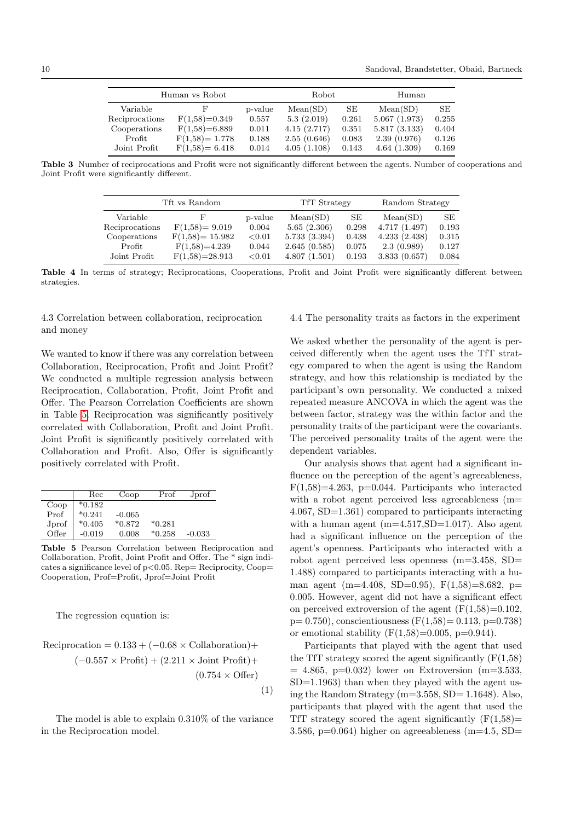| Human vs Robot |                   | Robot   |             | Human |              |       |
|----------------|-------------------|---------|-------------|-------|--------------|-------|
| Variable       |                   | p-value | Mean(SD)    | SE    | Mean(SD)     | SЕ    |
| Reciprocations | $F(1,58)=0.349$   | 0.557   | 5.3(2.019)  | 0.261 | 5.067(1.973) | 0.255 |
| Cooperations   | $F(1,58)=6.889$   | 0.011   | 4.15(2.717) | 0.351 | 5.817(3.133) | 0.404 |
| $\rm Profit$   | $F(1,58) = 1.778$ | 0.188   | 2.55(0.646) | 0.083 | 2.39(0.976)  | 0.126 |
| Joint Profit   | $F(1,58) = 6.418$ | 0.014   | 4.05(1.108) | 0.143 | 4.64(1.309)  | 0.169 |

<span id="page-9-0"></span>Table 3 Number of reciprocations and Profit were not significantly different between the agents. Number of cooperations and Joint Profit were significantly different.

| Tft vs Random  |                    | <b>TfT</b> Strategy |              | Random Strategy |              |       |
|----------------|--------------------|---------------------|--------------|-----------------|--------------|-------|
| Variable       |                    | p-value             | Mean(SD)     | SE              | Mean(SD)     | SE    |
| Reciprocations | $F(1,58) = 9.019$  | 0.004               | 5.65(2.306)  | 0.298           | 4.717(1.497) | 0.193 |
| Cooperations   | $F(1,58) = 15.982$ | ${<}0.01$           | 5.733(3.394) | 0.438           | 4.233(2.438) | 0.315 |
| Profit         | $F(1,58)=4.239$    | 0.044               | 2.645(0.585) | 0.075           | 2.3(0.989)   | 0.127 |
| Joint Profit   | $F(1,58)=28.913$   | ${<}0.01$           | 4.807(1.501) | 0.193           | 3.833(0.657) | 0.084 |

<span id="page-9-1"></span>Table 4 In terms of strategy; Reciprocations, Cooperations, Profit and Joint Profit were significantly different between strategies.

4.3 Correlation between collaboration, reciprocation and money

We wanted to know if there was any correlation between Collaboration, Reciprocation, Profit and Joint Profit? We conducted a multiple regression analysis between Reciprocation, Collaboration, Profit, Joint Profit and Offer. The Pearson Correlation Coefficients are shown in Table [5.](#page-9-2) Reciprocation was significantly positively correlated with Collaboration, Profit and Joint Profit. Joint Profit is significantly positively correlated with Collaboration and Profit. Also, Offer is significantly positively correlated with Profit.

|       | Rec      | Coop     | Prof     | Jprof    |
|-------|----------|----------|----------|----------|
| Coop  | $*0.182$ |          |          |          |
| Prof  | $*0.241$ | $-0.065$ |          |          |
| Jprof | $*0.405$ | $*0.872$ | $*0.281$ |          |
| Offer | $-0.019$ | 0.008    | $*0.258$ | $-0.033$ |

<span id="page-9-2"></span>Table 5 Pearson Correlation between Reciprocation and Collaboration, Profit, Joint Profit and Offer. The \* sign indicates a significance level of  $p<0.05$ . Rep= Reciprocity, Coop= Cooperation, Prof=Profit, Jprof=Joint Profit

The regression equation is:

Reciprocation = 
$$
0.133 + (-0.68 \times \text{Collaboration}) +
$$
  
\n $(-0.557 \times \text{Profit}) + (2.211 \times \text{Joint Profit}) +$   
\n $(0.754 \times \text{offer})$   
\n(1)

The model is able to explain 0.310% of the variance in the Reciprocation model.

4.4 The personality traits as factors in the experiment

We asked whether the personality of the agent is perceived differently when the agent uses the TfT strategy compared to when the agent is using the Random strategy, and how this relationship is mediated by the participant's own personality. We conducted a mixed repeated measure ANCOVA in which the agent was the between factor, strategy was the within factor and the personality traits of the participant were the covariants. The perceived personality traits of the agent were the dependent variables.

Our analysis shows that agent had a significant influence on the perception of the agent's agreeableness,  $F(1,58)=4.263$ , p=0.044. Participants who interacted with a robot agent perceived less agreeableness (m= 4.067, SD=1.361) compared to participants interacting with a human agent  $(m=4.517, SD=1.017)$ . Also agent had a significant influence on the perception of the agent's openness. Participants who interacted with a robot agent perceived less openness (m=3.458, SD= 1.488) compared to participants interacting with a human agent (m=4.408, SD=0.95), F(1,58)=8.682, p= 0.005. However, agent did not have a significant effect on perceived extroversion of the agent  $(F(1,58)=0.102,$  $p= 0.750$ , conscientiousness  $(F(1,58)=0.113, p=0.738)$ or emotional stability  $(F(1,58)=0.005, p=0.944)$ .

Participants that played with the agent that used the TfT strategy scored the agent significantly  $(F(1,58))$  $= 4.865, p=0.032$  lower on Extroversion (m=3.533,  $SD=1.1963$ ) than when they played with the agent using the Random Strategy ( $m=3.558$ , SD $= 1.1648$ ). Also, participants that played with the agent that used the TfT strategy scored the agent significantly  $(F(1,58)) =$ 3.586,  $p=0.064$ ) higher on agreeableness (m=4.5, SD=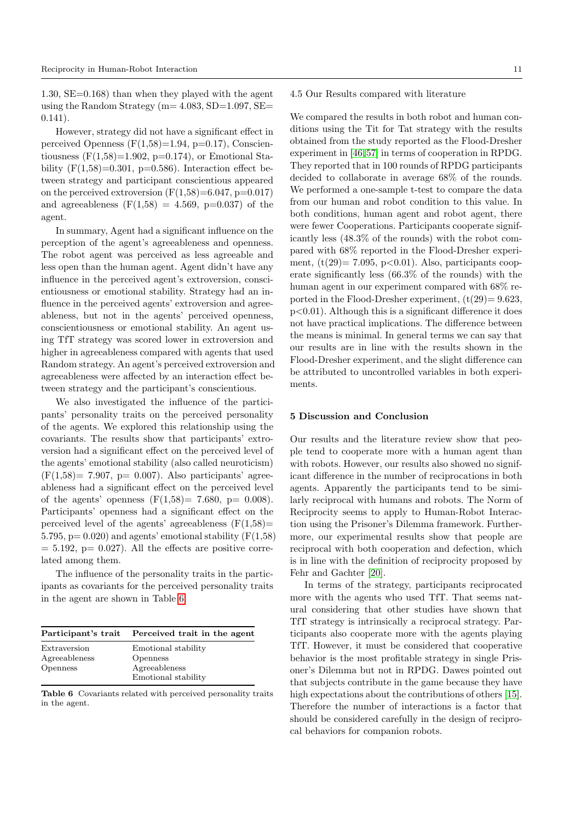1.30, SE=0.168) than when they played with the agent using the Random Strategy ( $m=4.083$ , SD=1.097, SE= 0.141).

However, strategy did not have a significant effect in perceived Openness  $(F(1,58)=1.94, p=0.17)$ , Conscientiousness  $(F(1,58)=1.902, p=0.174)$ , or Emotional Stability  $(F(1,58)=0.301, p=0.586)$ . Interaction effect between strategy and participant conscientious appeared on the perceived extroversion  $(F(1,58)=6.047, p=0.017)$ and agreeableness  $(F(1,58) = 4.569, p=0.037)$  of the agent.

In summary, Agent had a significant influence on the perception of the agent's agreeableness and openness. The robot agent was perceived as less agreeable and less open than the human agent. Agent didn't have any influence in the perceived agent's extroversion, conscientiousness or emotional stability. Strategy had an influence in the perceived agents' extroversion and agreeableness, but not in the agents' perceived openness, conscientiousness or emotional stability. An agent using TfT strategy was scored lower in extroversion and higher in agreeableness compared with agents that used Random strategy. An agent's perceived extroversion and agreeableness were affected by an interaction effect between strategy and the participant's conscientious.

We also investigated the influence of the participants' personality traits on the perceived personality of the agents. We explored this relationship using the covariants. The results show that participants' extroversion had a significant effect on the perceived level of the agents' emotional stability (also called neuroticism)  $(F(1,58)) = 7.907$ , p= 0.007). Also participants' agreeableness had a significant effect on the perceived level of the agents' openness  $(F(1,58) = 7.680, p = 0.008)$ . Participants' openness had a significant effect on the perceived level of the agents' agreeableness  $(F(1,58))$ = 5.795,  $p=0.020$ ) and agents' emotional stability (F(1,58)  $= 5.192$ ,  $p= 0.027$ . All the effects are positive correlated among them.

The influence of the personality traits in the participants as covariants for the perceived personality traits in the agent are shown in Table [6.](#page-10-0)

|                 | Participant's trait Perceived trait in the agent |
|-----------------|--------------------------------------------------|
| Extraversion    | Emotional stability                              |
| Agreeableness   | <b>Openness</b>                                  |
| <b>Openness</b> | Agreeableness                                    |
|                 | Emotional stability                              |

<span id="page-10-0"></span>Table 6 Covariants related with perceived personality traits in the agent.

## 4.5 Our Results compared with literature

We compared the results in both robot and human conditions using the Tit for Tat strategy with the results obtained from the study reported as the Flood-Dresher experiment in [\[46,](#page-14-27) [57\]](#page-15-2) in terms of cooperation in RPDG. They reported that in 100 rounds of RPDG participants decided to collaborate in average 68% of the rounds. We performed a one-sample t-test to compare the data from our human and robot condition to this value. In both conditions, human agent and robot agent, there were fewer Cooperations. Participants cooperate significantly less (48.3% of the rounds) with the robot compared with 68% reported in the Flood-Dresher experiment,  $(t(29)= 7.095, p<0.01)$ . Also, participants cooperate significantly less (66.3% of the rounds) with the human agent in our experiment compared with 68% reported in the Flood-Dresher experiment,  $(t(29)=9.623,$ p<0.01). Although this is a significant difference it does not have practical implications. The difference between the means is minimal. In general terms we can say that our results are in line with the results shown in the Flood-Dresher experiment, and the slight difference can be attributed to uncontrolled variables in both experiments.

## 5 Discussion and Conclusion

Our results and the literature review show that people tend to cooperate more with a human agent than with robots. However, our results also showed no significant difference in the number of reciprocations in both agents. Apparently the participants tend to be similarly reciprocal with humans and robots. The Norm of Reciprocity seems to apply to Human-Robot Interaction using the Prisoner's Dilemma framework. Furthermore, our experimental results show that people are reciprocal with both cooperation and defection, which is in line with the definition of reciprocity proposed by Fehr and Gachter [\[20\]](#page-13-3).

In terms of the strategy, participants reciprocated more with the agents who used TfT. That seems natural considering that other studies have shown that TfT strategy is intrinsically a reciprocal strategy. Participants also cooperate more with the agents playing TfT. However, it must be considered that cooperative behavior is the most profitable strategy in single Prisoner's Dilemma but not in RPDG. Dawes pointed out that subjects contribute in the game because they have high expectations about the contributions of others [\[15\]](#page-13-22). Therefore the number of interactions is a factor that should be considered carefully in the design of reciprocal behaviors for companion robots.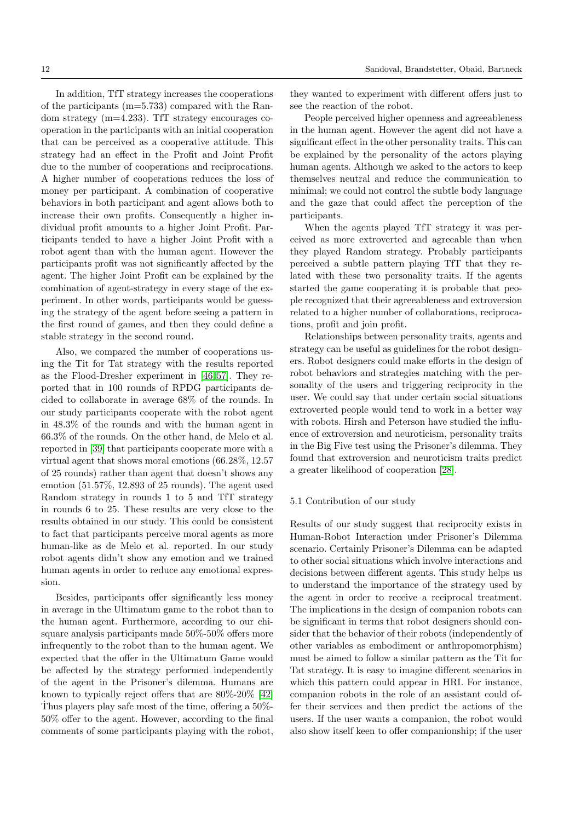In addition, TfT strategy increases the cooperations of the participants (m=5.733) compared with the Random strategy (m=4.233). TfT strategy encourages cooperation in the participants with an initial cooperation that can be perceived as a cooperative attitude. This strategy had an effect in the Profit and Joint Profit due to the number of cooperations and reciprocations. A higher number of cooperations reduces the loss of money per participant. A combination of cooperative behaviors in both participant and agent allows both to increase their own profits. Consequently a higher individual profit amounts to a higher Joint Profit. Participants tended to have a higher Joint Profit with a robot agent than with the human agent. However the participants profit was not significantly affected by the agent. The higher Joint Profit can be explained by the combination of agent-strategy in every stage of the experiment. In other words, participants would be guessing the strategy of the agent before seeing a pattern in the first round of games, and then they could define a stable strategy in the second round.

Also, we compared the number of cooperations using the Tit for Tat strategy with the results reported as the Flood-Dresher experiment in [\[46,](#page-14-27) [57\]](#page-15-2). They reported that in 100 rounds of RPDG participants decided to collaborate in average 68% of the rounds. In our study participants cooperate with the robot agent in 48.3% of the rounds and with the human agent in 66.3% of the rounds. On the other hand, de Melo et al. reported in [\[39\]](#page-14-16) that participants cooperate more with a virtual agent that shows moral emotions (66.28%, 12.57 of 25 rounds) rather than agent that doesn't shows any emotion (51.57%, 12.893 of 25 rounds). The agent used Random strategy in rounds 1 to 5 and TfT strategy in rounds 6 to 25. These results are very close to the results obtained in our study. This could be consistent to fact that participants perceive moral agents as more human-like as de Melo et al. reported. In our study robot agents didn't show any emotion and we trained human agents in order to reduce any emotional expression.

Besides, participants offer significantly less money in average in the Ultimatum game to the robot than to the human agent. Furthermore, according to our chisquare analysis participants made 50%-50% offers more infrequently to the robot than to the human agent. We expected that the offer in the Ultimatum Game would be affected by the strategy performed independently of the agent in the Prisoner's dilemma. Humans are known to typically reject offers that are 80%-20% [\[42\]](#page-14-12) Thus players play safe most of the time, offering a  $50\%$ 50% offer to the agent. However, according to the final comments of some participants playing with the robot,

they wanted to experiment with different offers just to see the reaction of the robot.

People perceived higher openness and agreeableness in the human agent. However the agent did not have a significant effect in the other personality traits. This can be explained by the personality of the actors playing human agents. Although we asked to the actors to keep themselves neutral and reduce the communication to minimal; we could not control the subtle body language and the gaze that could affect the perception of the participants.

When the agents played TfT strategy it was perceived as more extroverted and agreeable than when they played Random strategy. Probably participants perceived a subtle pattern playing TfT that they related with these two personality traits. If the agents started the game cooperating it is probable that people recognized that their agreeableness and extroversion related to a higher number of collaborations, reciprocations, profit and join profit.

Relationships between personality traits, agents and strategy can be useful as guidelines for the robot designers. Robot designers could make efforts in the design of robot behaviors and strategies matching with the personality of the users and triggering reciprocity in the user. We could say that under certain social situations extroverted people would tend to work in a better way with robots. Hirsh and Peterson have studied the influence of extroversion and neuroticism, personality traits in the Big Five test using the Prisoner's dilemma. They found that extroversion and neuroticism traits predict a greater likelihood of cooperation [\[28\]](#page-14-22).

## 5.1 Contribution of our study

Results of our study suggest that reciprocity exists in Human-Robot Interaction under Prisoner's Dilemma scenario. Certainly Prisoner's Dilemma can be adapted to other social situations which involve interactions and decisions between different agents. This study helps us to understand the importance of the strategy used by the agent in order to receive a reciprocal treatment. The implications in the design of companion robots can be significant in terms that robot designers should consider that the behavior of their robots (independently of other variables as embodiment or anthropomorphism) must be aimed to follow a similar pattern as the Tit for Tat strategy. It is easy to imagine different scenarios in which this pattern could appear in HRI. For instance, companion robots in the role of an assistant could offer their services and then predict the actions of the users. If the user wants a companion, the robot would also show itself keen to offer companionship; if the user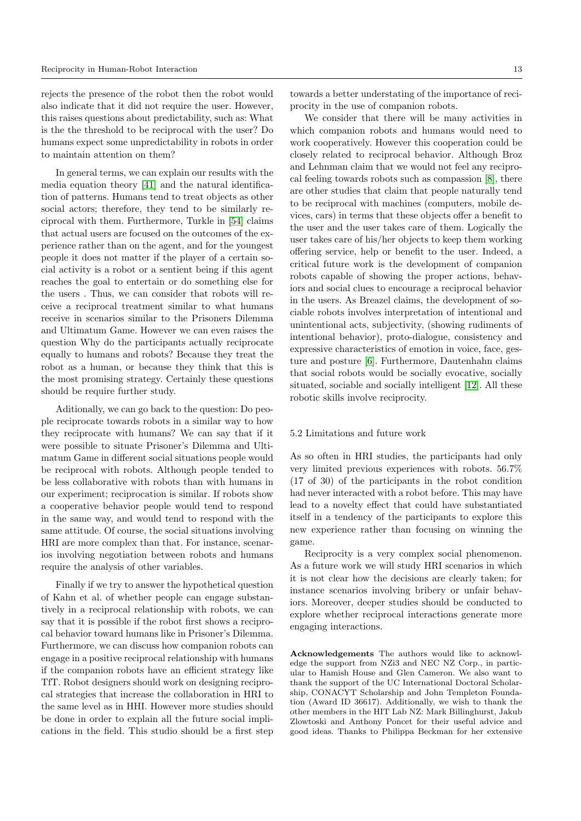rejects the presence of the robot then the robot would also indicate that it did not require the user. However, this raises questions about predictability, such as: What is the the threshold to be reciprocal with the user? Do humans expect some unpredictability in robots in order to maintain attention on them?

In general terms, we can explain our results with the media equation theory [\[41\]](#page-14-7) and the natural identification of patterns. Humans tend to treat objects as other social actors; therefore, they tend to be similarly reciprocal with them. Furthermore, Turkle in [\[54\]](#page-14-28) claims that actual users are focused on the outcomes of the experience rather than on the agent, and for the youngest people it does not matter if the player of a certain social activity is a robot or a sentient being if this agent reaches the goal to entertain or do something else for the users . Thus, we can consider that robots will receive a reciprocal treatment similar to what humans receive in scenarios similar to the Prisoners Dilemma and Ultimatum Game. However we can even raises the question Why do the participants actually reciprocate equally to humans and robots? Because they treat the robot as a human, or because they think that this is the most promising strategy. Certainly these questions should be require further study.

Aditionally, we can go back to the question: Do people reciprocate towards robots in a similar way to how they reciprocate with humans? We can say that if it were possible to situate Prisoner's Dilemma and Ultimatum Game in different social situations people would be reciprocal with robots. Although people tended to be less collaborative with robots than with humans in our experiment; reciprocation is similar. If robots show a cooperative behavior people would tend to respond in the same way, and would tend to respond with the same attitude. Of course, the social situations involving HRI are more complex than that. For instance, scenarios involving negotiation between robots and humans require the analysis of other variables.

Finally if we try to answer the hypothetical question of Kahn et al. of whether people can engage substantively in a reciprocal relationship with robots, we can say that it is possible if the robot first shows a reciprocal behavior toward humans like in Prisoner's Dilemma. Furthermore, we can discuss how companion robots can engage in a positive reciprocal relationship with humans if the companion robots have an efficient strategy like TfT. Robot designers should work on designing reciprocal strategies that increase the collaboration in HRI to the same level as in HHI. However more studies should be done in order to explain all the future social implications in the field. This studio should be a first step

towards a better understating of the importance of reciprocity in the use of companion robots.

We consider that there will be many activities in which companion robots and humans would need to work cooperatively. However this cooperation could be closely related to reciprocal behavior. Although Broz and Lehnman claim that we would not feel any reciprocal feeling towards robots such as compassion [\[8\]](#page-13-9), there are other studies that claim that people naturally tend to be reciprocal with machines (computers, mobile devices, cars) in terms that these objects offer a benefit to the user and the user takes care of them. Logically the user takes care of his/her objects to keep them working offering service, help or benefit to the user. Indeed, a critical future work is the development of companion robots capable of showing the proper actions, behaviors and social clues to encourage a reciprocal behavior in the users. As Breazel claims, the development of sociable robots involves interpretation of intentional and unintentional acts, subjectivity, (showing rudiments of intentional behavior), proto-dialogue, consistency and expressive characteristics of emotion in voice, face, gesture and posture [\[6\]](#page-13-23). Furthermore, Dautenhahn claims that social robots would be socially evocative, socially situated, sociable and socially intelligent [\[12\]](#page-13-24). All these robotic skills involve reciprocity.

## 5.2 Limitations and future work

As so often in HRI studies, the participants had only very limited previous experiences with robots. 56.7% (17 of 30) of the participants in the robot condition had never interacted with a robot before. This may have lead to a novelty effect that could have substantiated itself in a tendency of the participants to explore this new experience rather than focusing on winning the game.

Reciprocity is a very complex social phenomenon. As a future work we will study HRI scenarios in which it is not clear how the decisions are clearly taken; for instance scenarios involving bribery or unfair behaviors. Moreover, deeper studies should be conducted to explore whether reciprocal interactions generate more engaging interactions.

Acknowledgements The authors would like to acknowledge the support from NZi3 and NEC NZ Corp., in particular to Hamish House and Glen Cameron. We also want to thank the support of the UC International Doctoral Scholarship, CONACYT Scholarship and John Templeton Foundation (Award ID 36617). Additionally, we wish to thank the other members in the HIT Lab NZ: Mark Billinghurst, Jakub Zlowtoski and Anthony Poncet for their useful advice and good ideas. Thanks to Philippa Beckman for her extensive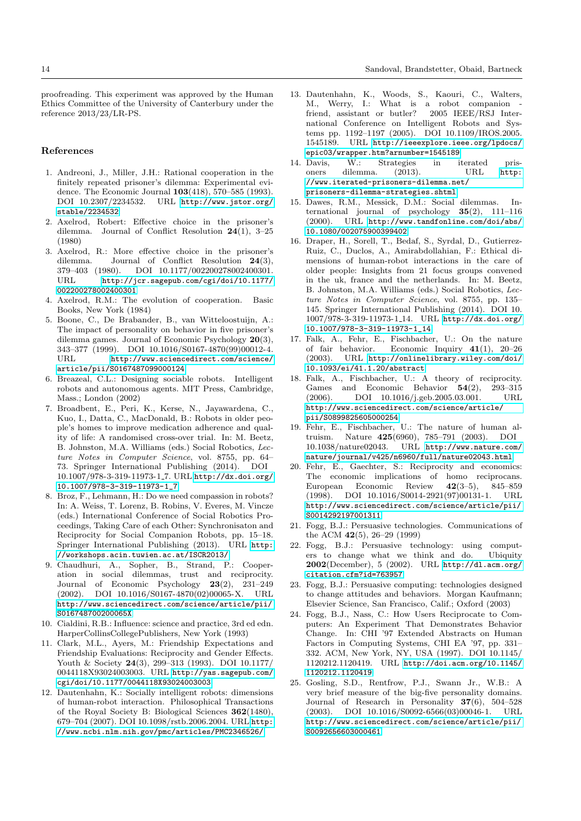proofreading. This experiment was approved by the Human Ethics Committee of the University of Canterbury under the reference 2013/23/LR-PS.

## References

- <span id="page-13-19"></span>1. Andreoni, J., Miller, J.H.: Rational cooperation in the finitely repeated prisoner's dilemma: Experimental evidence. The Economic Journal 103(418), 570–585 (1993). DOI 10.2307/2234532. URL [http://www.jstor.org/](http://www.jstor.org/stable/2234532) [stable/2234532](http://www.jstor.org/stable/2234532)
- <span id="page-13-14"></span>2. Axelrod, Robert: Effective choice in the prisoner's dilemma. Journal of Conflict Resolution 24(1), 3–25 (1980)
- <span id="page-13-15"></span>3. Axelrod, R.: More effective choice in the prisoner's dilemma. Journal of Conflict Resolution 24(3), 379–403 (1980). DOI 10.1177/002200278002400301. URL [http://jcr.sagepub.com/cgi/doi/10.1177/](http://jcr.sagepub.com/cgi/doi/10.1177/002200278002400301) [002200278002400301](http://jcr.sagepub.com/cgi/doi/10.1177/002200278002400301)
- <span id="page-13-6"></span>Axelrod, R.M.: The evolution of cooperation. Basic Books, New York (1984)
- <span id="page-13-17"></span>5. Boone, C., De Brabander, B., van Witteloostuijn, A.: The impact of personality on behavior in five prisoner's dilemma games. Journal of Economic Psychology 20(3), 343–377 (1999). DOI 10.1016/S0167-4870(99)00012-4. URL [http://www.sciencedirect.com/science/](http://www.sciencedirect.com/science/article/pii/S0167487099000124) [article/pii/S0167487099000124](http://www.sciencedirect.com/science/article/pii/S0167487099000124)
- <span id="page-13-23"></span>6. Breazeal, C.L.: Designing sociable robots. Intelligent robots and autonomous agents. MIT Press, Cambridge, Mass.; London (2002)
- <span id="page-13-1"></span>7. Broadbent, E., Peri, K., Kerse, N., Jayawardena, C., Kuo, I., Datta, C., MacDonald, B.: Robots in older people's homes to improve medication adherence and quality of life: A randomised cross-over trial. In: M. Beetz, B. Johnston, M.A. Williams (eds.) Social Robotics, Lecture Notes in Computer Science, vol. 8755, pp. 64– 73. Springer International Publishing (2014). DOI 10.1007/978-3-319-11973-1 7. URL [http://dx.doi.org/](http://dx.doi.org/10.1007/978-3-319-11973-1_7) [10.1007/978-3-319-11973-1\\_7](http://dx.doi.org/10.1007/978-3-319-11973-1_7)
- <span id="page-13-9"></span>8. Broz, F., Lehmann, H.: Do we need compassion in robots? In: A. Weiss, T. Lorenz, B. Robins, V. Everes, M. Vincze (eds.) International Conference of Social Robotics Proceedings, Taking Care of each Other: Synchronisaton and Reciprocity for Social Companion Robots, pp. 15–18. Springer International Publishing (2013). URL [http:](http://workshops.acin.tuwien.ac.at/ISCR2013/) [//workshops.acin.tuwien.ac.at/ISCR2013/](http://workshops.acin.tuwien.ac.at/ISCR2013/)
- <span id="page-13-18"></span>9. Chaudhuri, A., Sopher, B., Strand, P.: Cooperation in social dilemmas, trust and reciprocity. Journal of Economic Psychology 23(2), 231–249 (2002). DOI 10.1016/S0167-4870(02)00065-X. URL [http://www.sciencedirect.com/science/article/pii/](http://www.sciencedirect.com/science/article/pii/S016748700200065X) [S016748700200065X](http://www.sciencedirect.com/science/article/pii/S016748700200065X)
- <span id="page-13-5"></span>10. Cialdini, R.B.: Influence: science and practice, 3rd ed edn. HarperCollinsCollegePublishers, New York (1993)
- <span id="page-13-7"></span>11. Clark, M.L., Ayers, M.: Friendship Expectations and Friendship Evaluations: Reciprocity and Gender Effects. Youth & Society 24(3), 299-313 (1993). DOI 10.1177/ 0044118X93024003003. URL [http://yas.sagepub.com/](http://yas.sagepub.com/cgi/doi/10.1177/0044118X93024003003) [cgi/doi/10.1177/0044118X93024003003](http://yas.sagepub.com/cgi/doi/10.1177/0044118X93024003003)
- <span id="page-13-24"></span>12. Dautenhahn, K.: Socially intelligent robots: dimensions of human-robot interaction. Philosophical Transactions of the Royal Society B: Biological Sciences 362(1480), 679–704 (2007). DOI 10.1098/rstb.2006.2004. URL [http:](http://www.ncbi.nlm.nih.gov/pmc/articles/PMC2346526/) [//www.ncbi.nlm.nih.gov/pmc/articles/PMC2346526/](http://www.ncbi.nlm.nih.gov/pmc/articles/PMC2346526/)
- <span id="page-13-0"></span>13. Dautenhahn, K., Woods, S., Kaouri, C., Walters, M., Werry, I.: What is a robot companion friend, assistant or butler? 2005 IEEE/RSJ International Conference on Intelligent Robots and Systems pp. 1192–1197 (2005). DOI 10.1109/IROS.2005. 1545189. URL [http://ieeexplore.ieee.org/lpdocs/](http://ieeexplore.ieee.org/lpdocs/epic03/wrapper.htm?arnumber=1545189) [epic03/wrapper.htm?arnumber=1545189](http://ieeexplore.ieee.org/lpdocs/epic03/wrapper.htm?arnumber=1545189)
- <span id="page-13-13"></span>14. Davis, W.: Strategies in iterated prisoners dilemma. (2013). URL [http:](http://www.iterated-prisoners-dilemma.net/prisoners-dilemma-strategies.shtml) [//www.iterated-prisoners-dilemma.net/](http://www.iterated-prisoners-dilemma.net/prisoners-dilemma-strategies.shtml) [prisoners-dilemma-strategies.shtml](http://www.iterated-prisoners-dilemma.net/prisoners-dilemma-strategies.shtml)
- <span id="page-13-22"></span>15. Dawes, R.M., Messick, D.M.: Social dilemmas. International journal of psychology 35(2), 111–116 (2000). URL [http://www.tandfonline.com/doi/abs/](http://www.tandfonline.com/doi/abs/10.1080/002075900399402) [10.1080/002075900399402](http://www.tandfonline.com/doi/abs/10.1080/002075900399402)
- <span id="page-13-2"></span>16. Draper, H., Sorell, T., Bedaf, S., Syrdal, D., Gutierrez-Ruiz, C., Duclos, A., Amirabdollahian, F.: Ethical dimensions of human-robot interactions in the care of older people: Insights from 21 focus groups convened in the uk, france and the netherlands. In: M. Beetz, B. Johnston, M.A. Williams (eds.) Social Robotics, Lecture Notes in Computer Science, vol. 8755, pp. 135– 145. Springer International Publishing (2014). DOI 10. 1007/978-3-319-11973-1 14. URL [http://dx.doi.org/](http://dx.doi.org/10.1007/978-3-319-11973-1_14) [10.1007/978-3-319-11973-1\\_14](http://dx.doi.org/10.1007/978-3-319-11973-1_14)
- <span id="page-13-16"></span>17. Falk, A., Fehr, E., Fischbacher, U.: On the nature of fair behavior. Economic Inquiry 41(1), 20–26 (2003). URL [http://onlinelibrary.wiley.com/doi/](http://onlinelibrary.wiley.com/doi/10.1093/ei/41.1.20/abstract) [10.1093/ei/41.1.20/abstract](http://onlinelibrary.wiley.com/doi/10.1093/ei/41.1.20/abstract)
- <span id="page-13-4"></span>18. Falk, A., Fischbacher, U.: A theory of reciprocity. Games and Economic Behavior 54(2), 293–315 (2006). DOI 10.1016/j.geb.2005.03.001. URL [http://www.sciencedirect.com/science/article/](http://www.sciencedirect.com/science/article/pii/S0899825605000254) [pii/S0899825605000254](http://www.sciencedirect.com/science/article/pii/S0899825605000254)
- <span id="page-13-20"></span>19. Fehr, E., Fischbacher, U.: The nature of human altruism. Nature  $425(6960)$ ,  $785-791$  (2003). DOI<br>10.1038/nature02043. URL http://www.nature.com  $\text{URL } \text{http://www.nature.com/}$  $\text{URL } \text{http://www.nature.com/}$  $\text{URL } \text{http://www.nature.com/}$ [nature/journal/v425/n6960/full/nature02043.html](http://www.nature.com/nature/journal/v425/n6960/full/nature02043.html)
- <span id="page-13-3"></span>20. Fehr, E., Gaechter, S.: Reciprocity and economics: The economic implications of homo reciprocans. European Economic Review 42(3–5), 845–859 (1998). DOI 10.1016/S0014-2921(97)00131-1. URL [http://www.sciencedirect.com/science/article/pii/](http://www.sciencedirect.com/science/article/pii/S0014292197001311) [S0014292197001311](http://www.sciencedirect.com/science/article/pii/S0014292197001311)
- <span id="page-13-12"></span>21. Fogg, B.J.: Persuasive technologies. Communications of the ACM 42(5), 26–29 (1999)
- <span id="page-13-11"></span>22. Fogg, B.J.: Persuasive technology: using computers to change what we think and do. Ubiquity 2002(December), 5 (2002). URL [http://dl.acm.org/](http://dl.acm.org/citation.cfm?id=763957) [citation.cfm?id=763957](http://dl.acm.org/citation.cfm?id=763957)
- <span id="page-13-10"></span>23. Fogg, B.J.: Persuasive computing: technologies designed to change attitudes and behaviors. Morgan Kaufmann; Elsevier Science, San Francisco, Calif.; Oxford (2003)
- <span id="page-13-8"></span>24. Fogg, B.J., Nass, C.: How Users Reciprocate to Computers: An Experiment That Demonstrates Behavior Change. In: CHI '97 Extended Abstracts on Human Factors in Computing Systems, CHI EA '97, pp. 331– 332. ACM, New York, NY, USA (1997). DOI 10.1145/ 1120212.1120419. URL [http://doi.acm.org/10.1145/](http://doi.acm.org/10.1145/1120212.1120419) [1120212.1120419](http://doi.acm.org/10.1145/1120212.1120419)
- <span id="page-13-21"></span>25. Gosling, S.D., Rentfrow, P.J., Swann Jr., W.B.: A very brief measure of the big-five personality domains. Journal of Research in Personality 37(6), 504–528 (2003). DOI 10.1016/S0092-6566(03)00046-1. URL [http://www.sciencedirect.com/science/article/pii/](http://www.sciencedirect.com/science/article/pii/S0092656603000461) [S0092656603000461](http://www.sciencedirect.com/science/article/pii/S0092656603000461)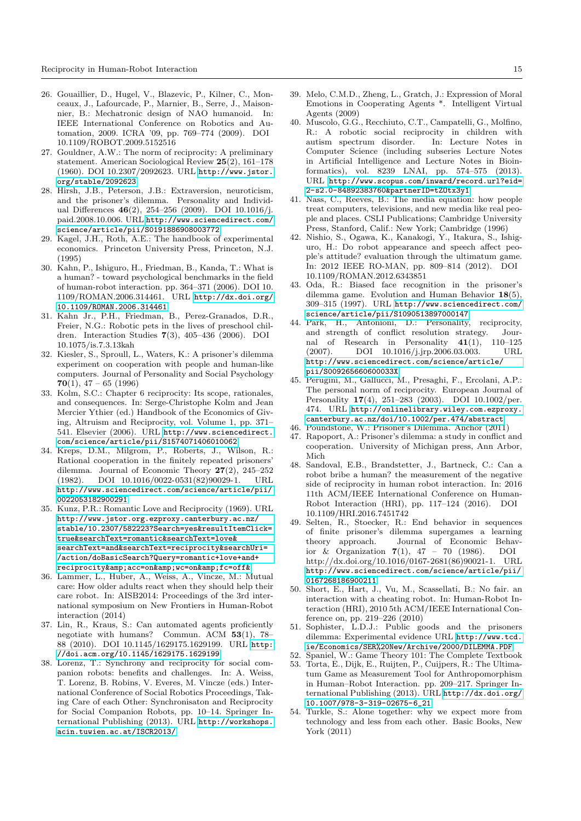- <span id="page-14-25"></span>26. Gouaillier, D., Hugel, V., Blazevic, P., Kilner, C., Monceaux, J., Lafourcade, P., Marnier, B., Serre, J., Maisonnier, B.: Mechatronic design of NAO humanoid. In: IEEE International Conference on Robotics and Automation, 2009. ICRA '09, pp. 769–774 (2009). DOI 10.1109/ROBOT.2009.5152516
- <span id="page-14-1"></span>27. Gouldner, A.W.: The norm of reciprocity: A preliminary statement. American Sociological Review 25(2), 161–178 (1960). DOI 10.2307/2092623. URL [http://www.jstor.](http://www.jstor.org/stable/2092623) [org/stable/2092623](http://www.jstor.org/stable/2092623)
- <span id="page-14-22"></span>28. Hirsh, J.B., Peterson, J.B.: Extraversion, neuroticism, and the prisoner's dilemma. Personality and Individual Differences 46(2), 254–256 (2009). DOI 10.1016/j. paid.2008.10.006. URL [http://www.sciencedirect.com/](http://www.sciencedirect.com/science/article/pii/S0191886908003772) [science/article/pii/S0191886908003772](http://www.sciencedirect.com/science/article/pii/S0191886908003772)
- <span id="page-14-24"></span>29. Kagel, J.H., Roth, A.E.: The handbook of experimental economics. Princeton University Press, Princeton, N.J. (1995)
- <span id="page-14-2"></span>30. Kahn, P., Ishiguro, H., Friedman, B., Kanda, T.: What is a human? - toward psychological benchmarks in the field of human-robot interaction. pp. 364–371 (2006). DOI 10. 1109/ROMAN.2006.314461. URL [http://dx.doi.org/](http://dx.doi.org/10.1109/ROMAN.2006.314461) [10.1109/ROMAN.2006.314461](http://dx.doi.org/10.1109/ROMAN.2006.314461)
- <span id="page-14-6"></span>31. Kahn Jr., P.H., Friedman, B., Perez-Granados, D.R., Freier, N.G.: Robotic pets in the lives of preschool children. Interaction Studies 7(3), 405–436 (2006). DOI 10.1075/is.7.3.13kah
- <span id="page-14-15"></span>32. Kiesler, S., Sproull, L., Waters, K.: A prisoner's dilemma experiment on cooperation with people and human-like computers. Journal of Personality and Social Psychology  $70(1), 47 - 65 (1996)$
- <span id="page-14-4"></span>33. Kolm, S.C.: Chapter 6 reciprocity: Its scope, rationales, and consequences. In: Serge-Christophe Kolm and Jean Mercier Ythier (ed.) Handbook of the Economics of Giving, Altruism and Reciprocity, vol. Volume 1, pp. 371– 541. Elsevier (2006). URL [http://www.sciencedirect.](http://www.sciencedirect.com/science/article/pii/S1574071406010062) [com/science/article/pii/S1574071406010062](http://www.sciencedirect.com/science/article/pii/S1574071406010062)
- <span id="page-14-21"></span>34. Kreps, D.M., Milgrom, P., Roberts, J., Wilson, R.: Rational cooperation in the finitely repeated prisoners' dilemma. Journal of Economic Theory  $27(2)$ , 245–252 (1982). DOI 10.1016/0022-0531(82)90029-1. URL [http://www.sciencedirect.com/science/article/pii/](http://www.sciencedirect.com/science/article/pii/0022053182900291) [0022053182900291](http://www.sciencedirect.com/science/article/pii/0022053182900291)
- <span id="page-14-5"></span>35. Kunz, P.R.: Romantic Love and Reciprocity (1969). URL [http://www.jstor.org.ezproxy.canterbury.ac.nz/](http://www.jstor.org.ezproxy.canterbury.ac.nz/stable/10.2307/582223?Search=yes&resultItemClick=true&searchText=romantic&searchText=love&searchText=and&searchText=reciprocity&searchUri=/action/doBasicSearch?Query=romantic+love+and+reciprocity&acc=on&wc=on&fc=off&) [stable/10.2307/582223?Search=yes&resultItemClick=](http://www.jstor.org.ezproxy.canterbury.ac.nz/stable/10.2307/582223?Search=yes&resultItemClick=true&searchText=romantic&searchText=love&searchText=and&searchText=reciprocity&searchUri=/action/doBasicSearch?Query=romantic+love+and+reciprocity&acc=on&wc=on&fc=off&) [true&searchText=romantic&searchText=love&](http://www.jstor.org.ezproxy.canterbury.ac.nz/stable/10.2307/582223?Search=yes&resultItemClick=true&searchText=romantic&searchText=love&searchText=and&searchText=reciprocity&searchUri=/action/doBasicSearch?Query=romantic+love+and+reciprocity&acc=on&wc=on&fc=off&) [searchText=and&searchText=reciprocity&searchUri=](http://www.jstor.org.ezproxy.canterbury.ac.nz/stable/10.2307/582223?Search=yes&resultItemClick=true&searchText=romantic&searchText=love&searchText=and&searchText=reciprocity&searchUri=/action/doBasicSearch?Query=romantic+love+and+reciprocity&acc=on&wc=on&fc=off&) [/action/doBasicSearch?Query=romantic+love+and+](http://www.jstor.org.ezproxy.canterbury.ac.nz/stable/10.2307/582223?Search=yes&resultItemClick=true&searchText=romantic&searchText=love&searchText=and&searchText=reciprocity&searchUri=/action/doBasicSearch?Query=romantic+love+and+reciprocity&acc=on&wc=on&fc=off&) [reciprocity&acc=on&wc=on&fc=off&](http://www.jstor.org.ezproxy.canterbury.ac.nz/stable/10.2307/582223?Search=yes&resultItemClick=true&searchText=romantic&searchText=love&searchText=and&searchText=reciprocity&searchUri=/action/doBasicSearch?Query=romantic+love+and+reciprocity&acc=on&wc=on&fc=off&)
- <span id="page-14-8"></span>36. Lammer, L., Huber, A., Weiss, A., Vincze, M.: Mutual care: How older adults react when they should help their care robot. In: AISB2014: Proceedings of the 3rd international symposium on New Frontiers in Human-Robot interaction (2014)
- <span id="page-14-14"></span>37. Lin, R., Kraus, S.: Can automated agents proficiently negotiate with humans? Commun. ACM 53(1), 78– 88 (2010). DOI 10.1145/1629175.1629199. URL [http:](http://doi.acm.org/10.1145/1629175.1629199) [//doi.acm.org/10.1145/1629175.1629199](http://doi.acm.org/10.1145/1629175.1629199)
- <span id="page-14-9"></span>38. Lorenz, T.: Synchrony and reciprocity for social companion robots: benefits and challenges. In: A. Weiss, T. Lorenz, B. Robins, V. Everes, M. Vincze (eds.) International Conference of Social Robotics Proceedings, Taking Care of each Other: Synchronisaton and Reciprocity for Social Companion Robots, pp. 10–14. Springer International Publishing (2013). URL [http://workshops.](http://workshops.acin.tuwien.ac.at/ISCR2013/) [acin.tuwien.ac.at/ISCR2013/](http://workshops.acin.tuwien.ac.at/ISCR2013/)
- <span id="page-14-16"></span>39. Melo, C.M.D., Zheng, L., Gratch, J.: Expression of Moral Emotions in Cooperating Agents \*. Intelligent Virtual Agents (2009)
- <span id="page-14-10"></span>40. Muscolo, G.G., Recchiuto, C.T., Campatelli, G., Molfino, R.: A robotic social reciprocity in children with autism spectrum disorder. In: Lecture Notes in Computer Science (including subseries Lecture Notes in Artificial Intelligence and Lecture Notes in Bioinformatics), vol. 8239 LNAI, pp. 574–575 (2013). URL [http://www.scopus.com/inward/record.url?eid=](http://www.scopus.com/inward/record.url?eid=2-s2.0-84892383760&partnerID=tZOtx3y1) [2-s2.0-84892383760&partnerID=tZOtx3y1](http://www.scopus.com/inward/record.url?eid=2-s2.0-84892383760&partnerID=tZOtx3y1)
- <span id="page-14-7"></span>41. Nass, C., Reeves, B.: The media equation: how people treat computers, televisions, and new media like real people and places. CSLI Publications; Cambridge University Press, Stanford, Calif.: New York; Cambridge (1996)
- <span id="page-14-12"></span>42. Nishio, S., Ogawa, K., Kanakogi, Y., Itakura, S., Ishiguro, H.: Do robot appearance and speech affect people's attitude? evaluation through the ultimatum game. In: 2012 IEEE RO-MAN, pp. 809–814 (2012). DOI 10.1109/ROMAN.2012.6343851
- <span id="page-14-26"></span>43. Oda, R.: Biased face recognition in the prisoner's dilemma game. Evolution and Human Behavior 18(5), 309–315 (1997). URL [http://www.sciencedirect.com/](http://www.sciencedirect.com/science/article/pii/S1090513897000147) [science/article/pii/S1090513897000147](http://www.sciencedirect.com/science/article/pii/S1090513897000147)
- <span id="page-14-19"></span>44. Park, H., Antonioni, D.: Personality, reciprocity, and strength of conflict resolution strategy. Journal of Research in Personality 41(1), 110–125 (2007). DOI 10.1016/j.jrp.2006.03.003. URL [http://www.sciencedirect.com/science/article/](http://www.sciencedirect.com/science/article/pii/S009265660600033X) [pii/S009265660600033X](http://www.sciencedirect.com/science/article/pii/S009265660600033X)
- <span id="page-14-3"></span>45. Perugini, M., Gallucci, M., Presaghi, F., Ercolani, A.P.: The personal norm of reciprocity. European Journal of Personality 17(4), 251–283 (2003). DOI 10.1002/per. 474. URL [http://onlinelibrary.wiley.com.ezproxy.](http://onlinelibrary.wiley.com.ezproxy.canterbury.ac.nz/doi/10.1002/per.474/abstract) [canterbury.ac.nz/doi/10.1002/per.474/abstract](http://onlinelibrary.wiley.com.ezproxy.canterbury.ac.nz/doi/10.1002/per.474/abstract)
- <span id="page-14-27"></span>46. Poundstone, W.: Prisoner's Dilemma. Anchor (2011)
- <span id="page-14-18"></span>47. Rapoport, A.: Prisoner's dilemma: a study in conflict and cooperation. University of Michigan press, Ann Arbor, Mich
- <span id="page-14-0"></span>48. Sandoval, E.B., Brandstetter, J., Bartneck, C.: Can a robot bribe a human? the measurement of the negative side of reciprocity in human robot interaction. In: 2016 11th ACM/IEEE International Conference on Human-Robot Interaction (HRI), pp. 117–124 (2016). DOI 10.1109/HRI.2016.7451742
- <span id="page-14-20"></span>49. Selten, R., Stoecker, R.: End behavior in sequences of finite prisoner's dilemma supergames a learning theory approach. Journal of Economic Behavior & Organization 7(1), 47 – 70 (1986). DOI http://dx.doi.org/10.1016/0167-2681(86)90021-1. URL [http://www.sciencedirect.com/science/article/pii/](http://www.sciencedirect.com/science/article/pii/0167268186900211) [0167268186900211](http://www.sciencedirect.com/science/article/pii/0167268186900211)
- <span id="page-14-11"></span>50. Short, E., Hart, J., Vu, M., Scassellati, B.: No fair. an interaction with a cheating robot. In: Human-Robot Interaction (HRI), 2010 5th ACM/IEEE International Conference on, pp. 219–226 (2010)
- <span id="page-14-23"></span>51. Sophister, L.D.J.: Public goods and the prisoners dilemma: Experimental evidence URL [http://www.tcd.](http://www.tcd.ie/Economics/SER%20New/Archive/2000/DILEMMA.PDF) [ie/Economics/SER%20New/Archive/2000/DILEMMA.PDF](http://www.tcd.ie/Economics/SER%20New/Archive/2000/DILEMMA.PDF)
- <span id="page-14-17"></span>52. Spaniel, W.: Game Theory 101: The Complete Textbook
- <span id="page-14-13"></span>53. Torta, E., Dijk, E., Ruijten, P., Cuijpers, R.: The Ultimatum Game as Measurement Tool for Anthropomorphism in Human–Robot Interaction. pp. 209–217. Springer International Publishing (2013). URL [http://dx.doi.org/](http://dx.doi.org/10.1007/978-3-319-02675-6_21) [10.1007/978-3-319-02675-6\\_21](http://dx.doi.org/10.1007/978-3-319-02675-6_21)
- <span id="page-14-28"></span>54. Turkle, S.: Alone together: why we expect more from technology and less from each other. Basic Books, New York (2011)